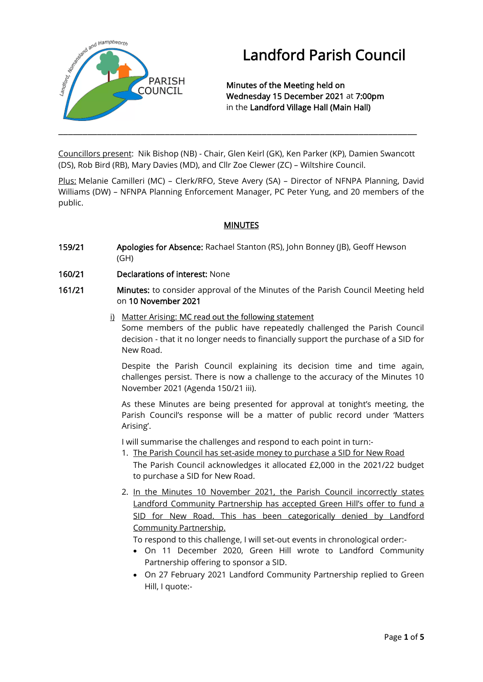

# Landford Parish Council

Minutes of the Meeting held on Wednesday 15 December 2021 at 7:00pm in the Landford Village Hall (Main Hall)

Councillors present: Nik Bishop (NB) - Chair, Glen Keirl (GK), Ken Parker (KP), Damien Swancott (DS), Rob Bird (RB), Mary Davies (MD), and Cllr Zoe Clewer (ZC) – Wiltshire Council.

Plus: Melanie Camilleri (MC) – Clerk/RFO, Steve Avery (SA) – Director of NFNPA Planning, David Williams (DW) – NFNPA Planning Enforcement Manager, PC Peter Yung, and 20 members of the public.

## MINUTES

- 159/21 Apologies for Absence: Rachael Stanton (RS), John Bonney (JB), Geoff Hewson (GH)
- 160/21 Declarations of interest: None
- 161/21 Minutes: to consider approval of the Minutes of the Parish Council Meeting held on 10 November 2021
	- $i)$  Matter Arising: MC read out the following statement Some members of the public have repeatedly challenged the Parish Council decision - that it no longer needs to financially support the purchase of a SID for New Road.

Despite the Parish Council explaining its decision time and time again, challenges persist. There is now a challenge to the accuracy of the Minutes 10 November 2021 (Agenda 150/21 iii).

As these Minutes are being presented for approval at tonight's meeting, the Parish Council's response will be a matter of public record under 'Matters Arising'.

I will summarise the challenges and respond to each point in turn:-

- 1. The Parish Council has set-aside money to purchase a SID for New Road The Parish Council acknowledges it allocated £2,000 in the 2021/22 budget to purchase a SID for New Road.
- 2. In the Minutes 10 November 2021, the Parish Council incorrectly states Landford Community Partnership has accepted Green Hill's offer to fund a SID for New Road. This has been categorically denied by Landford Community Partnership.

To respond to this challenge, I will set-out events in chronological order:-

- On 11 December 2020, Green Hill wrote to Landford Community Partnership offering to sponsor a SID.
- On 27 February 2021 Landford Community Partnership replied to Green Hill, I quote:-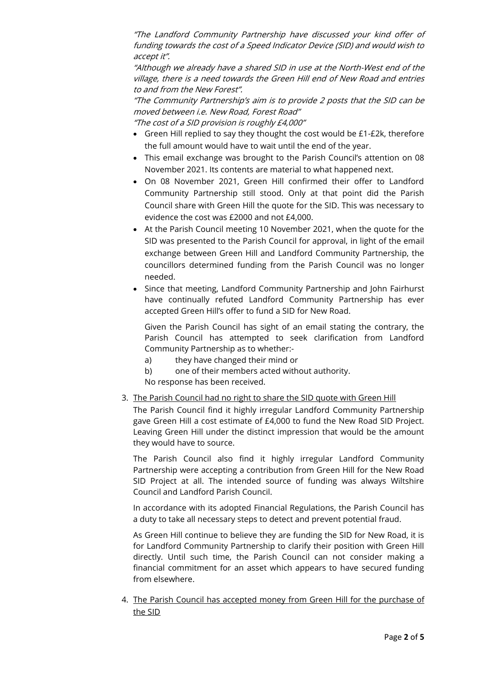"The Landford Community Partnership have discussed your kind offer of funding towards the cost of a Speed Indicator Device (SID) and would wish to accept it".

"Although we already have a shared SID in use at the North-West end of the village, there is a need towards the Green Hill end of New Road and entries to and from the New Forest".

"The Community Partnership's aim is to provide 2 posts that the SID can be moved between i.e. New Road, Forest Road"

"The cost of a SID provision is roughly £4,000"

- Green Hill replied to say they thought the cost would be £1-£2k, therefore the full amount would have to wait until the end of the year.
- This email exchange was brought to the Parish Council's attention on 08 November 2021. Its contents are material to what happened next.
- On 08 November 2021, Green Hill confirmed their offer to Landford Community Partnership still stood. Only at that point did the Parish Council share with Green Hill the quote for the SID. This was necessary to evidence the cost was £2000 and not £4,000.
- At the Parish Council meeting 10 November 2021, when the quote for the SID was presented to the Parish Council for approval, in light of the email exchange between Green Hill and Landford Community Partnership, the councillors determined funding from the Parish Council was no longer needed.
- Since that meeting, Landford Community Partnership and John Fairhurst have continually refuted Landford Community Partnership has ever accepted Green Hill's offer to fund a SID for New Road.

Given the Parish Council has sight of an email stating the contrary, the Parish Council has attempted to seek clarification from Landford Community Partnership as to whether:-

- a) they have changed their mind or
- b) one of their members acted without authority.

No response has been received.

## 3. The Parish Council had no right to share the SID quote with Green Hill

The Parish Council find it highly irregular Landford Community Partnership gave Green Hill a cost estimate of £4,000 to fund the New Road SID Project. Leaving Green Hill under the distinct impression that would be the amount they would have to source.

The Parish Council also find it highly irregular Landford Community Partnership were accepting a contribution from Green Hill for the New Road SID Project at all. The intended source of funding was always Wiltshire Council and Landford Parish Council.

In accordance with its adopted Financial Regulations, the Parish Council has a duty to take all necessary steps to detect and prevent potential fraud.

As Green Hill continue to believe they are funding the SID for New Road, it is for Landford Community Partnership to clarify their position with Green Hill directly. Until such time, the Parish Council can not consider making a financial commitment for an asset which appears to have secured funding from elsewhere.

4. The Parish Council has accepted money from Green Hill for the purchase of the SID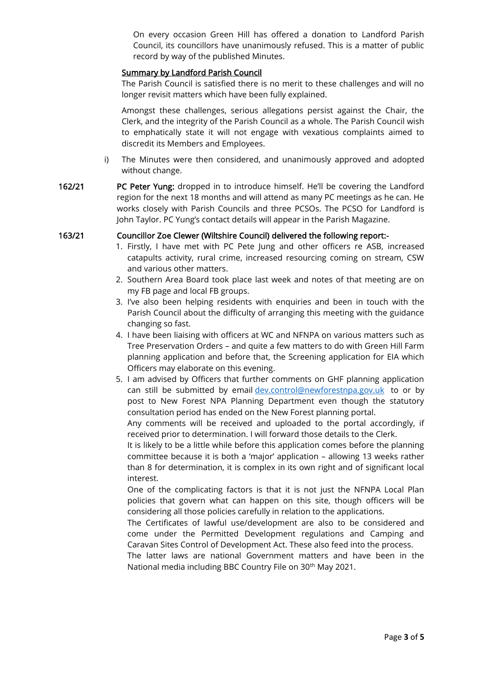On every occasion Green Hill has offered a donation to Landford Parish Council, its councillors have unanimously refused. This is a matter of public record by way of the published Minutes.

## Summary by Landford Parish Council

The Parish Council is satisfied there is no merit to these challenges and will no longer revisit matters which have been fully explained.

Amongst these challenges, serious allegations persist against the Chair, the Clerk, and the integrity of the Parish Council as a whole. The Parish Council wish to emphatically state it will not engage with vexatious complaints aimed to discredit its Members and Employees.

- i) The Minutes were then considered, and unanimously approved and adopted without change.
- 162/21 PC Peter Yung: dropped in to introduce himself. He'll be covering the Landford region for the next 18 months and will attend as many PC meetings as he can. He works closely with Parish Councils and three PCSOs. The PCSO for Landford is John Taylor. PC Yung's contact details will appear in the Parish Magazine.

## 163/21 Councillor Zoe Clewer (Wiltshire Council) delivered the following report:-

- 1. Firstly, I have met with PC Pete Jung and other officers re ASB, increased catapults activity, rural crime, increased resourcing coming on stream, CSW and various other matters.
- 2. Southern Area Board took place last week and notes of that meeting are on my FB page and local FB groups.
- 3. I've also been helping residents with enquiries and been in touch with the Parish Council about the difficulty of arranging this meeting with the guidance changing so fast.
- 4. I have been liaising with officers at WC and NFNPA on various matters such as Tree Preservation Orders – and quite a few matters to do with Green Hill Farm planning application and before that, the Screening application for EIA which Officers may elaborate on this evening.
- 5. I am advised by Officers that further comments on GHF planning application can still be submitted by email [dev.control@newforestnpa.gov.uk](mailto:dev.control@newforestnpa.gov.uk) to or by post to New Forest NPA Planning Department even though the statutory consultation period has ended on the New Forest planning portal.

Any comments will be received and uploaded to the portal accordingly, if received prior to determination. I will forward those details to the Clerk.

It is likely to be a little while before this application comes before the planning committee because it is both a 'major' application – allowing 13 weeks rather than 8 for determination, it is complex in its own right and of significant local interest.

One of the complicating factors is that it is not just the NFNPA Local Plan policies that govern what can happen on this site, though officers will be considering all those policies carefully in relation to the applications.

The Certificates of lawful use/development are also to be considered and come under the Permitted Development regulations and Camping and Caravan Sites Control of Development Act. These also feed into the process.

The latter laws are national Government matters and have been in the National media including BBC Country File on 30<sup>th</sup> May 2021.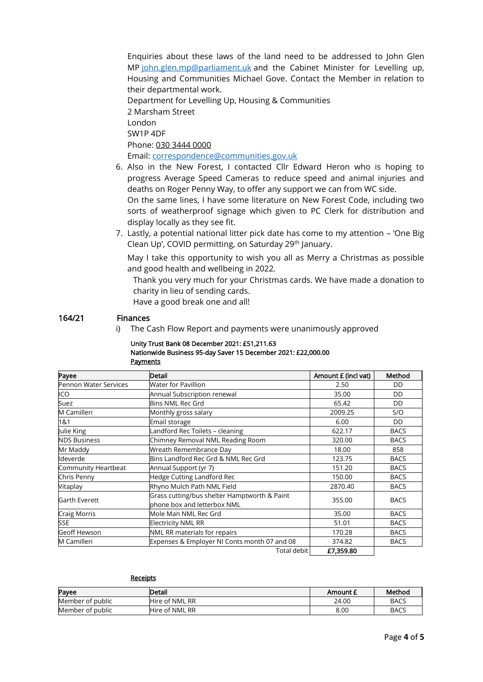Enquiries about these laws of the land need to be addressed to John Glen MP [john.glen.mp@parliament.uk](mailto:john.glen.mp@parliament.uk) and the Cabinet Minister for Levelling up, Housing and Communities Michael Gove. Contact the Member in relation to their departmental work.

Department for Levelling Up, Housing & Communities 2 Marsham Street London SW1P 4DF Phone: [030 3444 0000](tel:030%203444%200000) Email: [correspondence@communities.gov.uk](mailto:correspondence@communities.gov.uk)

- 6. Also in the New Forest, I contacted Cllr Edward Heron who is hoping to progress Average Speed Cameras to reduce speed and animal injuries and deaths on Roger Penny Way, to offer any support we can from WC side. On the same lines, I have some literature on New Forest Code, including two sorts of weatherproof signage which given to PC Clerk for distribution and display locally as they see fit.
- 7. Lastly, a potential national litter pick date has come to my attention 'One Big Clean Up', COVID permitting, on Saturday 29th January.

May I take this opportunity to wish you all as Merry a Christmas as possible and good health and wellbeing in 2022.

Thank you very much for your Christmas cards. We have made a donation to charity in lieu of sending cards.

Have a good break one and all!

## 164/21 Finances

i) The Cash Flow Report and payments were unanimously approved

### Unity Trust Bank 08 December 2021: £51,211.63 Nationwide Business 95-day Saver 15 December 2021: £22,000.00 **Payments**

| Payee                 | <b>Detail</b>                                                               | Amount £ (incl vat) | Method      |
|-----------------------|-----------------------------------------------------------------------------|---------------------|-------------|
| Pennon Water Services | <b>Water for Pavillion</b>                                                  | 2.50                | DD          |
| ICO                   | Annual Subscription renewal                                                 | 35.00               | DD          |
| Suez                  | <b>Bins NML Rec Grd</b>                                                     | 65.42               | DD          |
| M Camilleri           | Monthly gross salary                                                        | 2009.25             | S/O         |
| 1&1                   | Email storage                                                               | 6.00                | DD          |
| Julie King            | Landford Rec Toilets - cleaning                                             | 622.17              | <b>BACS</b> |
| <b>NDS Business</b>   | Chimney Removal NML Reading Room                                            | 320.00              | <b>BACS</b> |
| Mr Maddy              | Wreath Remembrance Day                                                      | 18.00               | 858         |
| Ideverde              | Bins Landford Rec Grd & NML Rec Grd                                         | 123.75              | <b>BACS</b> |
| Community Heartbeat   | Annual Support (yr 7)                                                       | 151.20              | <b>BACS</b> |
| Chris Penny           | Hedge Cutting Landford Rec                                                  | 150.00              | <b>BACS</b> |
| Vitaplay              | Rhyno Mulch Path NML Field                                                  | 2870.40             | <b>BACS</b> |
| <b>Garth Everett</b>  | Grass cutting/bus shelter Hamptworth & Paint<br>phone box and letterbox NML | 355.00              | <b>BACS</b> |
| Craig Morris          | Mole Man NML Rec Grd                                                        | 35.00               | <b>BACS</b> |
| <b>SSE</b>            | <b>Electricity NML RR</b>                                                   | 51.01               | <b>BACS</b> |
| <b>Geoff Hewson</b>   | NML RR materials for repairs                                                | 170.28              | <b>BACS</b> |
| M Camilleri           | Expenses & Employer NI Conts month 07 and 08                                | 374.82              | <b>BACS</b> |
|                       | Total debit l                                                               | £7,359.80           |             |

#### **Receipts**

| Payee            | Detail         | Amount E | Method      |
|------------------|----------------|----------|-------------|
| Member of public | Hire of NML RR | 24.00    | <b>BACS</b> |
| Member of public | Hire of NML RR | 8.00     | <b>BACS</b> |